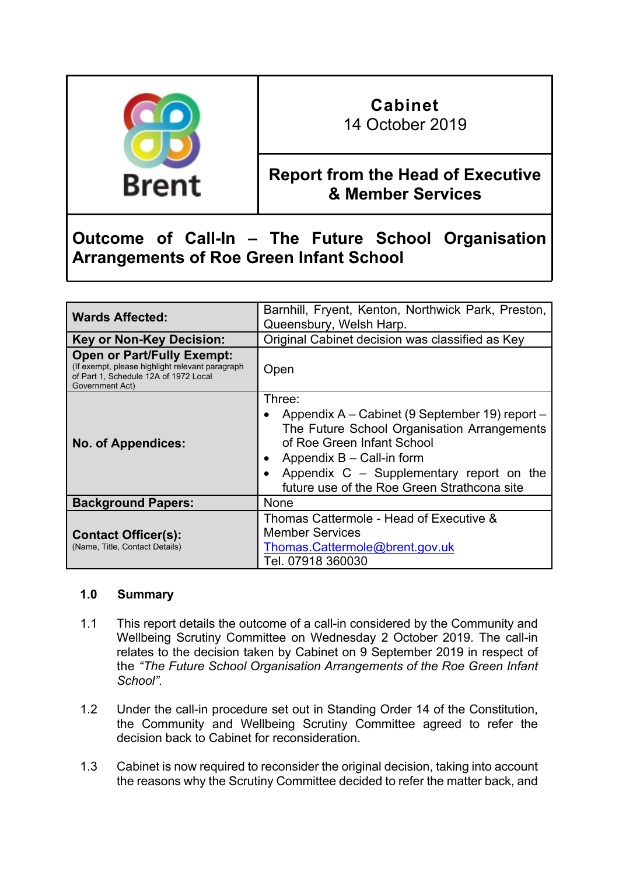

# **Cabinet**

14 October 2019

### **Report from the Head of Executive & Member Services**

## **Outcome of Call-In – The Future School Organisation Arrangements of Roe Green Infant School**

| <b>Wards Affected:</b>                                                                                                                            | Barnhill, Fryent, Kenton, Northwick Park, Preston,<br>Queensbury, Welsh Harp.                                                                                                                                                                                     |
|---------------------------------------------------------------------------------------------------------------------------------------------------|-------------------------------------------------------------------------------------------------------------------------------------------------------------------------------------------------------------------------------------------------------------------|
| <b>Key or Non-Key Decision:</b>                                                                                                                   | Original Cabinet decision was classified as Key                                                                                                                                                                                                                   |
| <b>Open or Part/Fully Exempt:</b><br>(If exempt, please highlight relevant paragraph)<br>of Part 1, Schedule 12A of 1972 Local<br>Government Act) | Open                                                                                                                                                                                                                                                              |
| <b>No. of Appendices:</b>                                                                                                                         | Three:<br>Appendix A – Cabinet (9 September 19) report –<br>The Future School Organisation Arrangements<br>of Roe Green Infant School<br>Appendix $B -$ Call-in form<br>Appendix $C -$ Supplementary report on the<br>future use of the Roe Green Strathcona site |
| <b>Background Papers:</b>                                                                                                                         | <b>None</b>                                                                                                                                                                                                                                                       |
| <b>Contact Officer(s):</b><br>(Name, Title, Contact Details)                                                                                      | Thomas Cattermole - Head of Executive &<br><b>Member Services</b><br>Thomas.Cattermole@brent.gov.uk<br>Tel. 07918 360030                                                                                                                                          |

#### **1.0 Summary**

- 1.1 This report details the outcome of a call-in considered by the Community and Wellbeing Scrutiny Committee on Wednesday 2 October 2019. The call-in relates to the decision taken by Cabinet on 9 September 2019 in respect of the *"The Future School Organisation Arrangements of the Roe Green Infant School".*
- 1.2 Under the call-in procedure set out in Standing Order 14 of the Constitution, the Community and Wellbeing Scrutiny Committee agreed to refer the decision back to Cabinet for reconsideration.
- 1.3 Cabinet is now required to reconsider the original decision, taking into account the reasons why the Scrutiny Committee decided to refer the matter back, and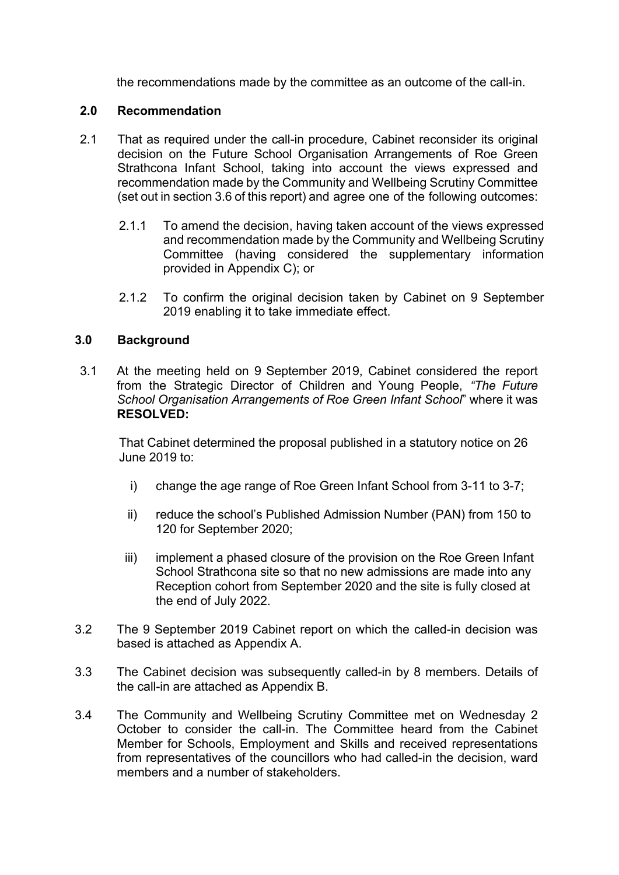the recommendations made by the committee as an outcome of the call-in.

#### **2.0 Recommendation**

- 2.1 That as required under the call-in procedure, Cabinet reconsider its original decision on the Future School Organisation Arrangements of Roe Green Strathcona Infant School, taking into account the views expressed and recommendation made by the Community and Wellbeing Scrutiny Committee (set out in section 3.6 of this report) and agree one of the following outcomes:
	- 2.1.1 To amend the decision, having taken account of the views expressed and recommendation made by the Community and Wellbeing Scrutiny Committee (having considered the supplementary information provided in Appendix C); or
	- 2.1.2 To confirm the original decision taken by Cabinet on 9 September 2019 enabling it to take immediate effect.

#### **3.0 Background**

3.1 At the meeting held on 9 September 2019, Cabinet considered the report from the Strategic Director of Children and Young People, *"The Future School Organisation Arrangements of Roe Green Infant School*" where it was **RESOLVED:**

That Cabinet determined the proposal published in a statutory notice on 26 June 2019 to:

- i) change the age range of Roe Green Infant School from 3-11 to 3-7;
- ii) reduce the school's Published Admission Number (PAN) from 150 to 120 for September 2020;
- iii) implement a phased closure of the provision on the Roe Green Infant School Strathcona site so that no new admissions are made into any Reception cohort from September 2020 and the site is fully closed at the end of July 2022.
- 3.2 The 9 September 2019 Cabinet report on which the called-in decision was based is attached as Appendix A.
- 3.3 The Cabinet decision was subsequently called-in by 8 members. Details of the call-in are attached as Appendix B.
- 3.4 The Community and Wellbeing Scrutiny Committee met on Wednesday 2 October to consider the call-in. The Committee heard from the Cabinet Member for Schools, Employment and Skills and received representations from representatives of the councillors who had called-in the decision, ward members and a number of stakeholders.